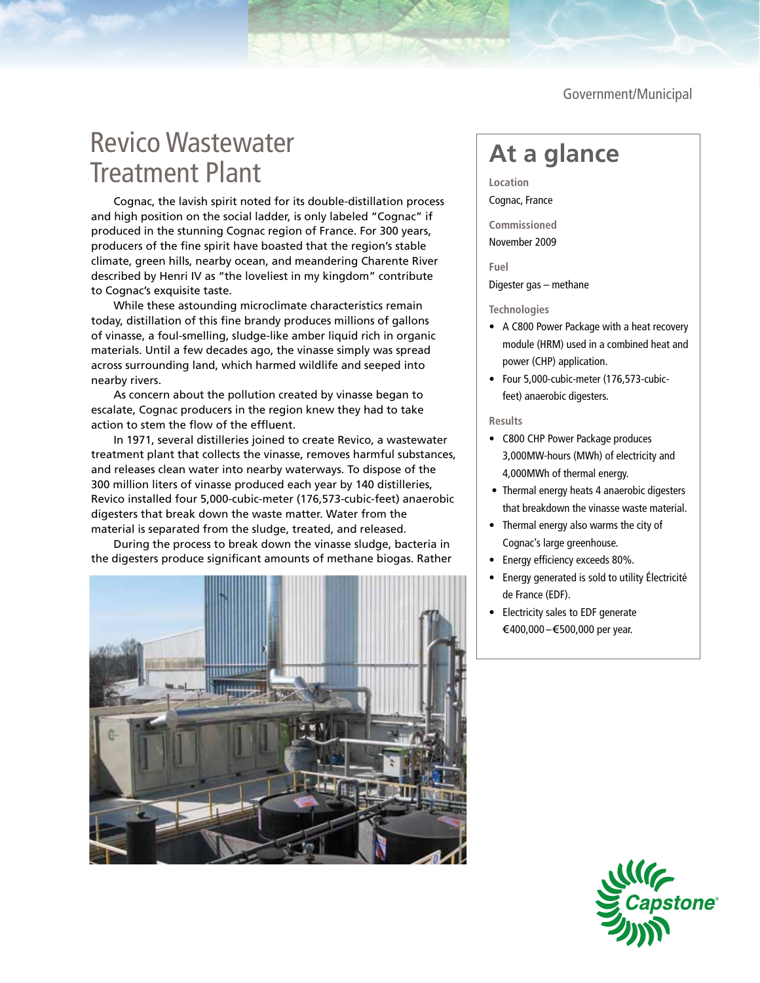Government/Municipal

## Revico Wastewater Treatment Plant

Cognac, the lavish spirit noted for its double-distillation process and high position on the social ladder, is only labeled "Cognac" if produced in the stunning Cognac region of France. For 300 years, producers of the fine spirit have boasted that the region's stable climate, green hills, nearby ocean, and meandering Charente River described by Henri IV as "the loveliest in my kingdom" contribute to Cognac's exquisite taste.

While these astounding microclimate characteristics remain today, distillation of this fine brandy produces millions of gallons of vinasse, a foul-smelling, sludge-like amber liquid rich in organic materials. Until a few decades ago, the vinasse simply was spread across surrounding land, which harmed wildlife and seeped into nearby rivers.

As concern about the pollution created by vinasse began to escalate, Cognac producers in the region knew they had to take action to stem the flow of the effluent.

In 1971, several distilleries joined to create Revico, a wastewater treatment plant that collects the vinasse, removes harmful substances, and releases clean water into nearby waterways. To dispose of the 300 million liters of vinasse produced each year by 140 distilleries, Revico installed four 5,000-cubic-meter (176,573-cubic-feet) anaerobic digesters that break down the waste matter. Water from the material is separated from the sludge, treated, and released.

During the process to break down the vinasse sludge, bacteria in the digesters produce significant amounts of methane biogas. Rather



## **At a glance**

**Location** Cognac, France

**Commissioned** November 2009

**Fuel** Digester gas – methane

## **Technologies**

- A C800 Power Package with a heat recovery module (HRM) used in a combined heat and power (CHP) application.
- Four 5,000-cubic-meter (176,573-cubic- feet) anaerobic digesters.

## **Results**

- • C800 CHP Power Package produces 3,000MW-hours (MWh) of electricity and 4,000MWh of thermal energy.
- Thermal energy heats 4 anaerobic digesters that breakdown the vinasse waste material.
- Thermal energy also warms the city of Cognac's large greenhouse.
- Energy efficiency exceeds 80%.
- Energy generated is sold to utility Électricité de France (EDF).
- Electricity sales to EDF generate €400,000 –€500,000 per year.